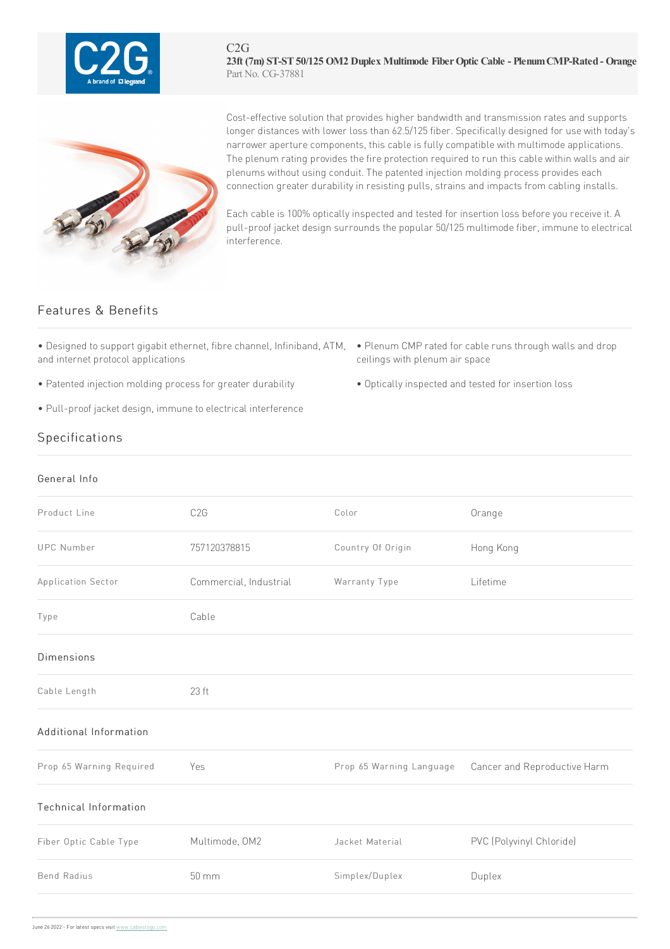

C2G **23ft (7m) ST-ST50/125 OM2 Duplex Multimode FiberOptic Cable - PlenumCMP-Rated - Orange** Part No. CG-37881



Cost-effective solution that provides higher bandwidth and transmission rates and supports longer distances with lower loss than 62.5/125 fiber. Specifically designed for use with today's narrower aperture components, this cable is fully compatible with multimode applications. The plenum rating provides the fire protection required to run this cable within walls and air plenums without using conduit. The patented injection molding process provides each connection greater durability in resisting pulls, strains and impacts from cabling installs.

Each cable is 100% optically inspected and tested for insertion loss before you receive it. A pull-proof jacket design surrounds the popular 50/125 multimode fiber, immune to electrical interference.

## Features & Benefits

- Designed to support gigabit ethernet, fibre channel, Infiniband, ATM, Plenum CMP rated for cable runs through walls and drop and internet protocol applications
- Patented injection molding process for greater durability Optically inspected and tested for insertion loss
- Pull-proof jacket design, immune to electrical interference
- ceilings with plenum air space
- 

## Specifications

## General Info

| Product Line             | C2G                    | Color                    | Orange                       |
|--------------------------|------------------------|--------------------------|------------------------------|
| <b>UPC Number</b>        | 757120378815           | Country Of Origin        | Hong Kong                    |
| Application Sector       | Commercial, Industrial | Warranty Type            | Lifetime                     |
| Type                     | Cable                  |                          |                              |
| <b>Dimensions</b>        |                        |                          |                              |
| Cable Length             | 23 ft                  |                          |                              |
| Additional Information   |                        |                          |                              |
| Prop 65 Warning Required | Yes                    | Prop 65 Warning Language | Cancer and Reproductive Harm |
| Technical Information    |                        |                          |                              |
| Fiber Optic Cable Type   | Multimode, OM2         | Jacket Material          | PVC (Polyvinyl Chloride)     |
| <b>Bend Radius</b>       | 50 mm                  | Simplex/Duplex           | Duplex                       |
|                          |                        |                          |                              |